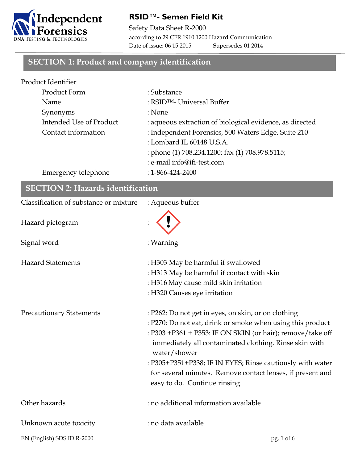

### **RSID™- Semen Field Kit**

Safety Data Sheet R-2000 according to 29 CFR 1910.1200 Hazard Communication Date of issue: 06 15 2015 Supersedes 01 2014

### **SECTION 1: Product and company identification**

| Product Identifier      |                                                          |
|-------------------------|----------------------------------------------------------|
| Product Form            | : Substance                                              |
| Name                    | : RSID <sup>TM</sup> - Universal Buffer                  |
| Synonyms                | : None                                                   |
| Intended Use of Product | : aqueous extraction of biological evidence, as directed |
| Contact information     | : Independent Forensics, 500 Waters Edge, Suite 210      |
|                         | : Lombard IL 60148 U.S.A.                                |
|                         | : phone (1) 708.234.1200; fax (1) 708.978.5115;          |
|                         | : e-mail info@ifi-test.com                               |
| Emergency telephone     | $: 1 - 866 - 424 - 2400$                                 |

| <b>SECTION 2: Hazards identification</b> |                                                                                                                                                                                                                                                                                                                                                                                                                      |
|------------------------------------------|----------------------------------------------------------------------------------------------------------------------------------------------------------------------------------------------------------------------------------------------------------------------------------------------------------------------------------------------------------------------------------------------------------------------|
| Classification of substance or mixture   | : Aqueous buffer                                                                                                                                                                                                                                                                                                                                                                                                     |
| Hazard pictogram                         |                                                                                                                                                                                                                                                                                                                                                                                                                      |
| Signal word                              | : Warning                                                                                                                                                                                                                                                                                                                                                                                                            |
| <b>Hazard Statements</b>                 | : H303 May be harmful if swallowed<br>: H313 May be harmful if contact with skin<br>: H316 May cause mild skin irritation<br>: H320 Causes eye irritation                                                                                                                                                                                                                                                            |
| <b>Precautionary Statements</b>          | : P262: Do not get in eyes, on skin, or on clothing<br>: P270: Do not eat, drink or smoke when using this product<br>: P303 +P361 + P353: IF ON SKIN (or hair); remove/take off<br>immediately all contaminated clothing. Rinse skin with<br>water/shower<br>: P305+P351+P338; IF IN EYES; Rinse cautiously with water<br>for several minutes. Remove contact lenses, if present and<br>easy to do. Continue rinsing |
| Other hazards                            | : no additional information available                                                                                                                                                                                                                                                                                                                                                                                |
| Unknown acute toxicity                   | : no data available                                                                                                                                                                                                                                                                                                                                                                                                  |
| EN (English) SDS ID R-2000               | pg. 1 of 6                                                                                                                                                                                                                                                                                                                                                                                                           |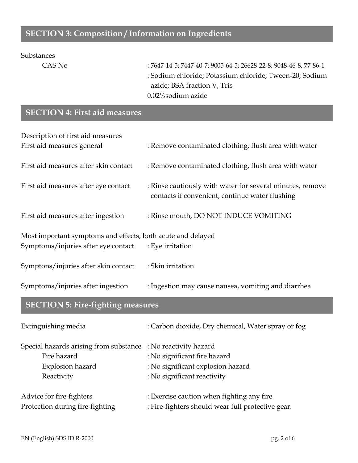## **SECTION 3: Composition / Information on Ingredients**

#### Substances

CAS No : 7647-14-5; 7447-40-7; 9005-64-5; 26628-22-8; 9048-46-8, 77-86-1 : Sodium chloride; Potassium chloride; Tween-20; Sodium azide; BSA fraction V, Tris 0.02%sodium azide

## **SECTION 4: First aid measures**

| Description of first aid measures                           |                                                                                                              |  |
|-------------------------------------------------------------|--------------------------------------------------------------------------------------------------------------|--|
| First aid measures general                                  | : Remove contaminated clothing, flush area with water                                                        |  |
| First aid measures after skin contact                       | : Remove contaminated clothing, flush area with water                                                        |  |
| First aid measures after eye contact                        | : Rinse cautiously with water for several minutes, remove<br>contacts if convenient, continue water flushing |  |
| First aid measures after ingestion                          | : Rinse mouth, DO NOT INDUCE VOMITING                                                                        |  |
| Most important symptoms and effects, both acute and delayed |                                                                                                              |  |
| Symptoms/injuries after eye contact                         | : Eye irritation                                                                                             |  |
| Symptons/injuries after skin contact                        | : Skin irritation                                                                                            |  |
| Symptoms/injuries after ingestion                           | : Ingestion may cause nausea, vomiting and diarrhea                                                          |  |

## **SECTION 5: Fire-fighting measures**

| Extinguishing media                                           | : Carbon dioxide, Dry chemical, Water spray or fog |
|---------------------------------------------------------------|----------------------------------------------------|
| Special hazards arising from substance : No reactivity hazard |                                                    |
| Fire hazard                                                   | : No significant fire hazard                       |
| Explosion hazard                                              | : No significant explosion hazard                  |
| Reactivity                                                    | : No significant reactivity                        |
| Advice for fire-fighters                                      | : Exercise caution when fighting any fire          |
| Protection during fire-fighting                               | : Fire-fighters should wear full protective gear.  |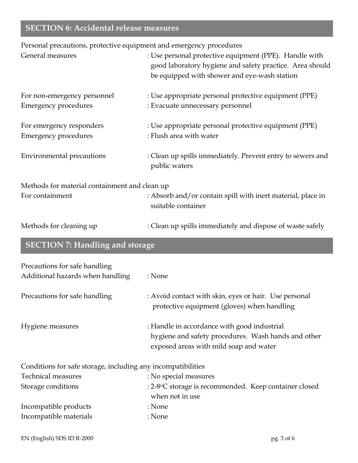# **SECTION 6: Accidental release measures**

Personal precautions, protective equipment and emergency procedures

| General measures                                                  | : Use personal protective equipment (PPE). Handle with<br>good laboratory hygiene and safety practice. Area should<br>be equipped with shower and eye-wash station |
|-------------------------------------------------------------------|--------------------------------------------------------------------------------------------------------------------------------------------------------------------|
| For non-emergency personnel<br><b>Emergency procedures</b>        | : Use appropriate personal protective equipment (PPE)<br>: Evacuate unnecessary personnel                                                                          |
| For emergency responders<br><b>Emergency procedures</b>           | : Use appropriate personal protective equipment (PPE)<br>: Flush area with water                                                                                   |
| <b>Environmental precautions</b>                                  | : Clean up spills immediately. Prevent entry to sewers and<br>public waters                                                                                        |
| Methods for material containment and clean up                     |                                                                                                                                                                    |
| For containment                                                   | : Absorb and/or contain spill with inert material, place in<br>suitable container                                                                                  |
| Methods for cleaning up                                           | : Clean up spills immediately and dispose of waste safely                                                                                                          |
| <b>SECTION 7: Handling and storage</b>                            |                                                                                                                                                                    |
| Precautions for safe handling<br>Additional hazards when handling | : None                                                                                                                                                             |
| Precautions for safe handling                                     | : Avoid contact with skin, eyes or hair. Use personal<br>protective equipment (gloves) when handling                                                               |
| Hygiene measures                                                  | : Handle in accordance with good industrial<br>hygiene and safety procedures. Wash hands and other<br>exposed areas with mild soap and water                       |
| Conditions for safe storage, including any incompatibilities      |                                                                                                                                                                    |
| <b>Technical measures</b>                                         | : No special measures                                                                                                                                              |
| Storage conditions                                                | : 2-8°C storage is recommended. Keep container closed<br>when not in use                                                                                           |
| Incompatible products                                             | : None                                                                                                                                                             |
| Incompatible materials                                            | : None                                                                                                                                                             |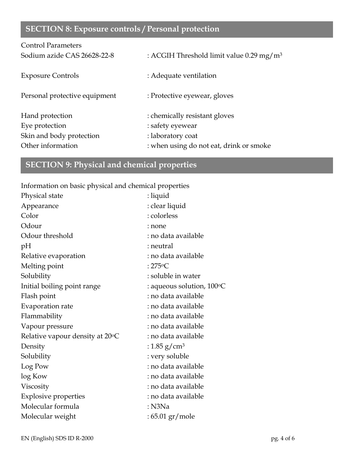# **SECTION 8: Exposure controls / Personal protection**

| <b>Control Parameters</b>     |                                                      |
|-------------------------------|------------------------------------------------------|
| Sodium azide CAS 26628-22-8   | : ACGIH Threshold limit value 0.29 mg/m <sup>3</sup> |
| <b>Exposure Controls</b>      | : Adequate ventilation                               |
| Personal protective equipment | : Protective eyewear, gloves                         |
| Hand protection               | : chemically resistant gloves                        |
| Eye protection                | : safety eyewear                                     |
| Skin and body protection      | : laboratory coat                                    |
| Other information             | : when using do not eat, drink or smoke              |

# **SECTION 9: Physical and chemical properties**

Information on basic physical and chemical properties

| Physical state                  | : liquid                           |
|---------------------------------|------------------------------------|
| Appearance                      | : clear liquid                     |
| Color                           | : colorless                        |
| Odour                           | : none                             |
| Odour threshold                 | : no data available                |
| pH                              | : neutral                          |
| Relative evaporation            | : no data available                |
| Melting point                   | : $275^{\circ}$ C                  |
| Solubility                      | : soluble in water                 |
| Initial boiling point range     | : aqueous solution, $100\degree$ C |
| Flash point                     | : no data available                |
| Evaporation rate                | : no data available                |
| Flammability                    | : no data available                |
| Vapour pressure                 | : no data available                |
| Relative vapour density at 20°C | : no data available                |
| Density                         | : 1.85 g/cm <sup>3</sup>           |
| Solubility                      | : very soluble                     |
| Log Pow                         | : no data available                |
| log Kow                         | : no data available                |
| Viscosity                       | : no data available                |
| <b>Explosive properties</b>     | : no data available                |
| Molecular formula               | $:$ N3Na                           |
| Molecular weight                | : 65.01 gr/mole                    |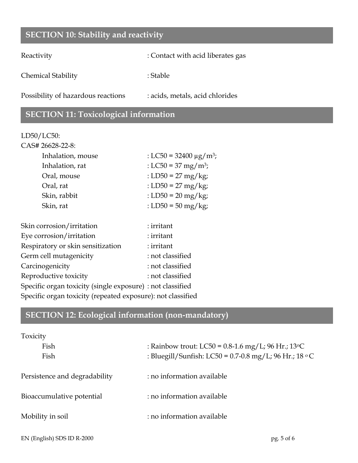## **SECTION 10: Stability and reactivity**

Reactivity : Contact with acid liberates gas

Chemical Stability : Stable : Stable

Possibility of hazardous reactions : acids, metals, acid chlorides

## **SECTION 11: Toxicological information**

#### LD50/LC50:

| CAS# 26628-22-8:  |                                         |
|-------------------|-----------------------------------------|
| Inhalation, mouse | : LC50 = 32400 $\mu$ g/m <sup>3</sup> ; |
| Inhalation, rat   | : LC50 = 37 mg/m <sup>3</sup> ;         |
| Oral, mouse       | : LD50 = 27 mg/kg;                      |
| Oral, rat         | : LD50 = 27 mg/kg;                      |
| Skin, rabbit      | : LD50 = $20 \text{ mg/kg}$ ;           |
| Skin, rat         | : LD50 = 50 mg/kg;                      |
|                   |                                         |

| Skin corrosion/irritation                                   | : irritant       |
|-------------------------------------------------------------|------------------|
| Eye corrosion/irritation                                    | : irritant       |
| Respiratory or skin sensitization                           | : irritant       |
| Germ cell mutagenicity                                      | : not classified |
| Carcinogenicity                                             | : not classified |
| Reproductive toxicity                                       | : not classified |
| Specific organ toxicity (single exposure) : not classified  |                  |
| Specific organ toxicity (repeated exposure): not classified |                  |
|                                                             |                  |

# **SECTION 12: Ecological information (non-mandatory)**

| Toxicity                      |                                                        |
|-------------------------------|--------------------------------------------------------|
| Fish                          | : Rainbow trout: LC50 = $0.8$ -1.6 mg/L; 96 Hr.; 13 °C |
| Fish                          | : Bluegill/Sunfish: LC50 = 0.7-0.8 mg/L; 96 Hr.; 18 °C |
| Persistence and degradability | : no information available                             |
| Bioaccumulative potential     | : no information available                             |
| Mobility in soil              | : no information available                             |
|                               |                                                        |